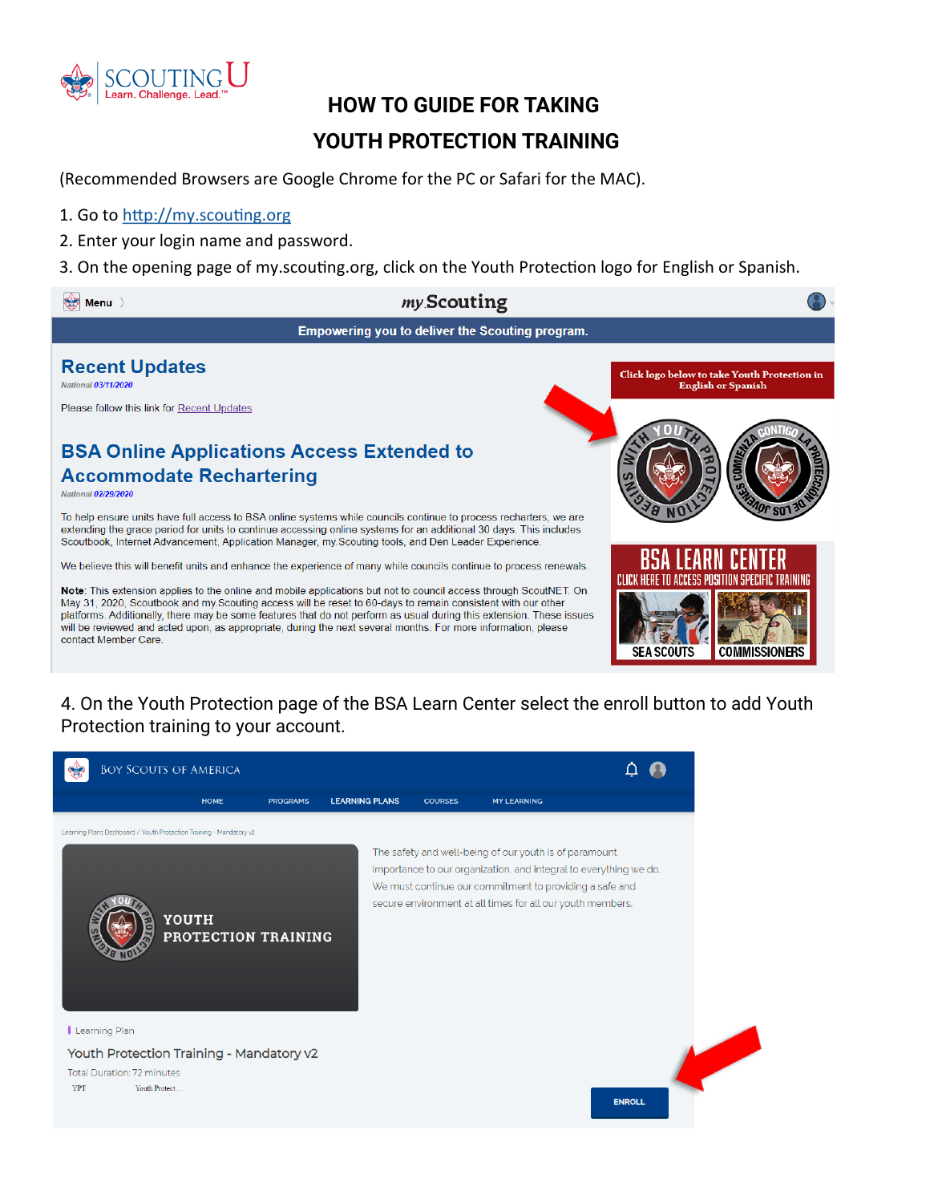

## **HOW TO GUIDE FOR TAKING YOUTH PROTECTION TRAINING**

(Recommended Browsers are Google Chrome for the PC or Safari for the MAC).

## 1. Go to <http://my.scouting.org>

- 2. Enter your login name and password.
- 3. On the opening page of my.scouting.org, click on the Youth Protection logo for English or Spanish.



## 4. On the Youth Protection page of the BSA Learn Center select the enroll button to add Youth Protection training to your account.

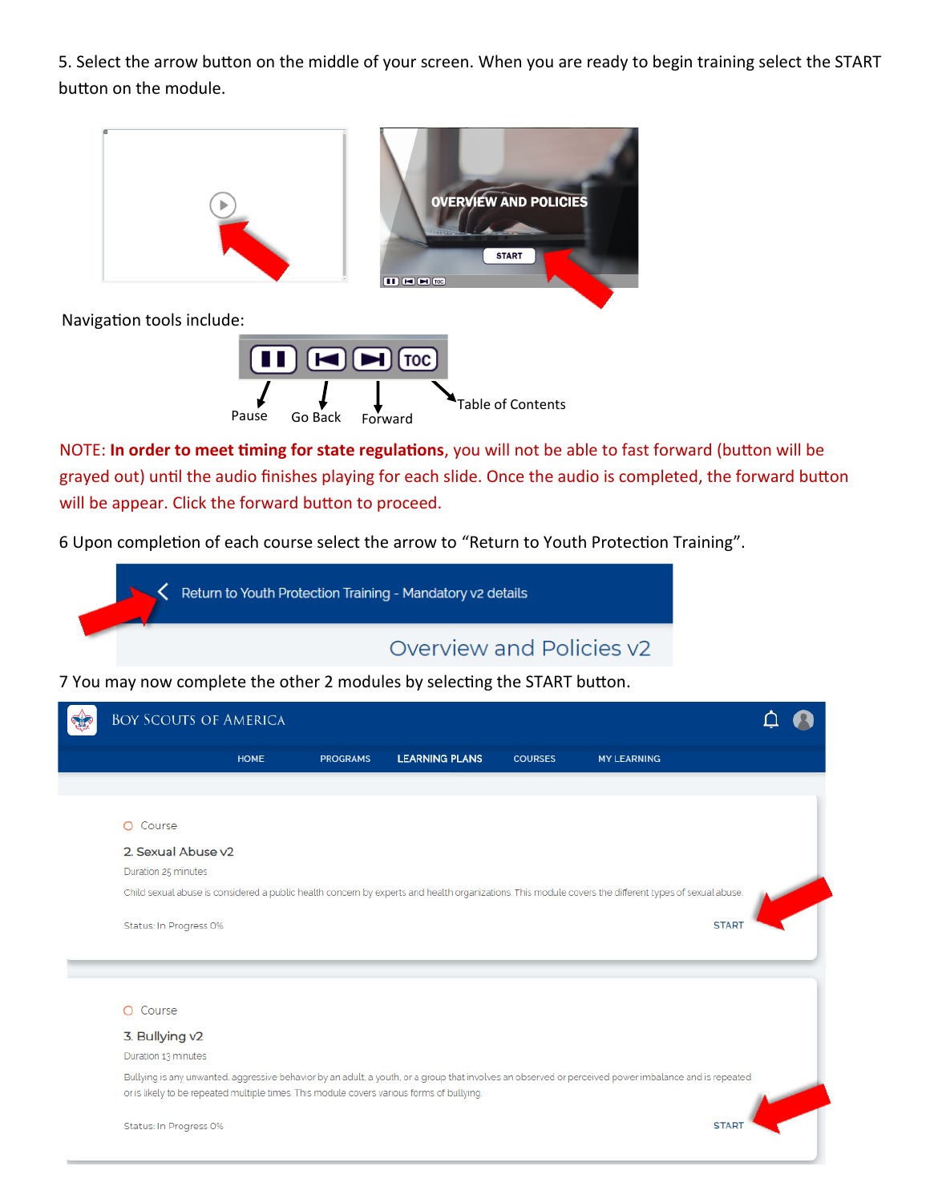5. Select the arrow button on the middle of your screen. When you are ready to begin training select the START button on the module.



NOTE: **In order to meet timing for state regulations**, you will not be able to fast forward (button will be grayed out) until the audio finishes playing for each slide. Once the audio is completed, the forward button will be appear. Click the forward button to proceed.

6 Upon completion of each course select the arrow to "Return to Youth Protection Training".



7 You may now complete the other 2 modules by selecting the START button.